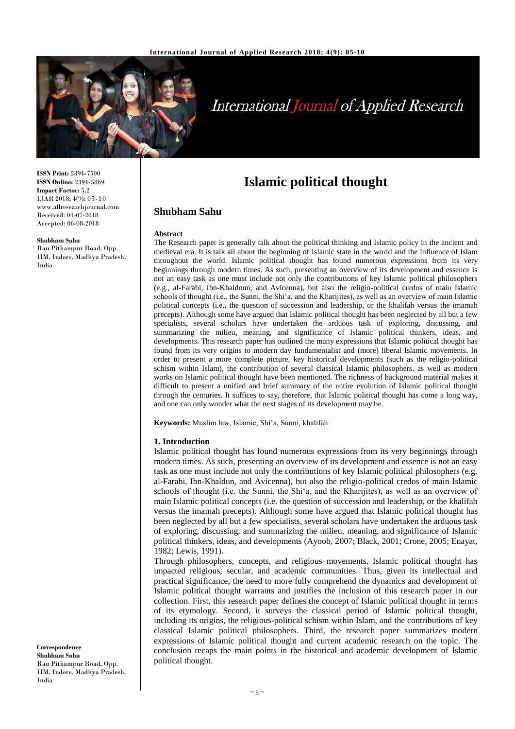

# **International Journal of Applied Research**

**ISSN Print:** 2394**-**7500 **ISSN Online:** 2394**-**5869 **Impact Factor:** 5.2 IJAR 2018; 4(9): 05-10 www.allresearchjournal.com Received: 04-07-2018 Accepted: 06-08-2018

#### **Shubham Sahu**

Rau Pithampur Road, Opp. IIM, Indore, Madhya Pradesh, India

**Islamic political thought**

#### **Shubham Sahu**

#### **Abstract**

The Research paper is generally talk about the political thinking and Islamic policy in the ancient and medieval era. It is talk all about the beginning of Islamic state in the world and the influence of Islam throughout the world. Islamic political thought has found numerous expressions from its very beginnings through modern times. As such, presenting an overview of its development and essence is not an easy task as one must include not only the contributions of key Islamic political philosophers (e.g., al-Farabi, Ibn-Khaldoun, and Avicenna), but also the religio-political credos of main Islamic schools of thought (i.e., the Sunni, the Shi'a, and the Kharijites), as well as an overview of main Islamic political concepts (i.e., the question of succession and leadership, or the khalifah versus the imamah precepts). Although some have argued that Islamic political thought has been neglected by all but a few specialists, several scholars have undertaken the arduous task of exploring, discussing, and summarizing the milieu, meaning, and significance of Islamic political thinkers, ideas, and developments. This research paper has outlined the many expressions that Islamic political thought has found from its very origins to modern day fundamentalist and (more) liberal Islamic movements. In order to present a more complete picture, key historical developments (such as the religio-political schism within Islam), the contribution of several classical Islamic philosophers, as well as modern works on Islamic political thought have been mentioned. The richness of background material makes it difficult to present a unified and brief summary of the entire evolution of Islamic political thought through the centuries. It suffices to say, therefore, that Islamic political thought has come a long way, and one can only wonder what the next stages of its development may be.

**Keywords:** Muslim law, Islamic, Shi'a, Sunni, khalifah

#### **1. Introduction**

Islamic political thought has found numerous expressions from its very beginnings through modern times. As such, presenting an overview of its development and essence is not an easy task as one must include not only the contributions of key Islamic political philosophers (e.g. al**-**Farabi, Ibn**-**Khaldun, and Avicenna), but also the religio**-**political credos of main Islamic schools of thought (i.e. the Sunni, the Shi'a, and the Kharijites), as well as an overview of main Islamic political concepts (i.e. the question of succession and leadership, or the khalifah versus the imamah precepts). Although some have argued that Islamic political thought has been neglected by all but a few specialists, several scholars have undertaken the arduous task of exploring, discussing, and summarizing the milieu, meaning, and significance of Islamic political thinkers, ideas, and developments (Ayoob, 2007; Black, 2001; Crone, 2005; Enayat, 1982; Lewis, 1991).

Through philosophers, concepts, and religious movements, Islamic political thought has impacted religious, secular, and academic communities. Thus, given its intellectual and practical significance, the need to more fully comprehend the dynamics and development of Islamic political thought warrants and justifies the inclusion of this research paper in our collection. First, this research paper defines the concept of Islamic political thought in terms of its etymology. Second, it surveys the classical period of Islamic political thought, including its origins, the religious**-**political schism within Islam, and the contributions of key classical Islamic political philosophers. Third, the research paper summarizes modern expressions of Islamic political thought and current academic research on the topic. The conclusion recaps the main points in the historical and academic development of Islamic political thought.

**Correspondence Shubham Sahu** Rau Pithampur Road, Opp. IIM, Indore, Madhya Pradesh, India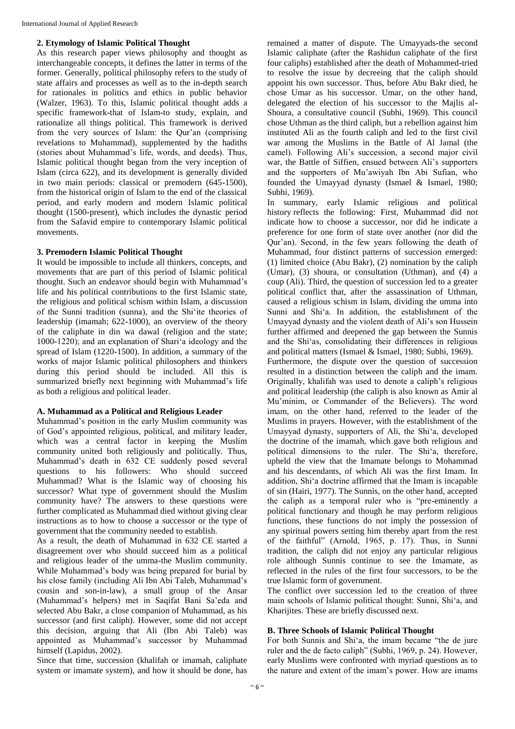## **2. Etymology of Islamic Political Thought**

As this research paper views philosophy and thought as interchangeable concepts, it defines the latter in terms of the former. Generally, political philosophy refers to the study of state affairs and processes as well as to the in**-**depth search for rationales in politics and ethics in public behavior (Walzer, 1963). To this, Islamic political thought adds a specific framework**-**that of Islam**-**to study, explain, and rationalize all things political. This framework is derived from the very sources of Islam: the Qur'an (comprising revelations to Muhammad), supplemented by the hadiths (stories about Muhammad's life, words, and deeds). Thus, Islamic political thought began from the very inception of Islam (circa 622), and its development is generally divided in two main periods: classical or premodern (645**-**1500), from the historical origin of Islam to the end of the classical period, and early modern and modern Islamic political thought (1500**-**present), which includes the dynastic period from the Safavid empire to contemporary Islamic political movements.

#### **3. Premodern Islamic Political Thought**

It would be impossible to include all thinkers, concepts, and movements that are part of this period of Islamic political thought. Such an endeavor should begin with Muhammad's life and his political contributions to the first Islamic state, the religious and political schism within Islam, a discussion of the Sunni tradition (sunna), and the Shi'ite theories of leadership (imamah; 622**-**1000), an overview of the theory of the caliphate in din wa dawal (religion and the state; 1000**-**1220); and an explanation of Shari'a ideology and the spread of Islam (1220**-**1500). In addition, a summary of the works of major Islamic political philosophers and thinkers during this period should be included. All this is summarized briefly next beginning with Muhammad's life as both a religious and political leader.

## **A. Muhammad as a Political and Religious Leader**

Muhammad's position in the early Muslim community was of God's appointed religious, political, and military leader, which was a central factor in keeping the Muslim community united both religiously and politically. Thus, Muhammad's death in 632 CE suddenly posed several questions to his followers: Who should succeed Muhammad? What is the Islamic way of choosing his successor? What type of government should the Muslim community have? The answers to these questions were further complicated as Muhammad died without giving clear instructions as to how to choose a successor or the type of government that the community needed to establish.

As a result, the death of Muhammad in 632 CE started a disagreement over who should succeed him as a political and religious leader of the umma**-**the Muslim community. While Muhammad's body was being prepared for burial by his close family (including Ali Ibn Abi Taleb, Muhammad's cousin and son**-**in**-**law), a small group of the Ansar (Muhammad's helpers) met in Saqifat Bani Sa'eda and selected Abu Bakr, a close companion of Muhammad, as his successor (and first caliph). However, some did not accept this decision, arguing that Ali (Ibn Abi Taleb) was appointed as Muhammad's successor by Muhammad himself (Lapidus, 2002).

Since that time, succession (khalifah or imamah, caliphate system or imamate system), and how it should be done, has

remained a matter of dispute. The Umayyads**-**the second Islamic caliphate (after the Rashidun caliphate of the first four caliphs) established after the death of Mohammed**-**tried to resolve the issue by decreeing that the caliph should appoint his own successor. Thus, before Abu Bakr died, he chose Umar as his successor. Umar, on the other hand, delegated the election of his successor to the Majlis al**-**Shoura, a consultative council (Subhi, 1969). This council chose Uthman as the third caliph, but a rebellion against him instituted Ali as the fourth caliph and led to the first civil war among the Muslims in the Battle of Al Jamal (the camel). Following Ali's succession, a second major civil war, the Battle of Siffien, ensued between Ali's supporters and the supporters of Mu'awiyah Ibn Abi Sufian, who founded the Umayyad dynasty (Ismael & Ismael, 1980; Subhi, 1969).

In summary, early Islamic religious and political history reflects the following: First, Muhammad did not indicate how to choose a successor, nor did he indicate a preference for one form of state over another (nor did the Qur'an). Second, in the few years following the death of Muhammad, four distinct patterns of succession emerged: (1) limited choice (Abu Bakr), (2) nomination by the caliph (Umar), (3) shoura, or consultation (Uthman), and (4) a coup (Ali). Third, the question of succession led to a greater political conflict that, after the assassination of Uthman, caused a religious schism in Islam, dividing the umma into Sunni and Shi'a. In addition, the establishment of the Umayyad dynasty and the violent death of Ali's son Hussein further affirmed and deepened the gap between the Sunnis and the Shi'as, consolidating their differences in religious and political matters (Ismael & Ismael, 1980; Subhi, 1969). Furthermore, the dispute over the question of succession resulted in a distinction between the caliph and the imam. Originally, khalifah was used to denote a caliph's religious and political leadership (the caliph is also known as Amir al Mu'minim, or Commander of the Believers). The word imam, on the other hand, referred to the leader of the Muslims in prayers. However, with the establishment of the Umayyad dynasty, supporters of Ali, the Shi'a, developed the doctrine of the imamah, which gave both religious and political dimensions to the ruler. The Shi'a, therefore, upheld the view that the Imamate belongs to Mohammad and his descendants, of which Ali was the first Imam. In addition, Shi'a doctrine affirmed that the Imam is incapable of sin (Hairi, 1977). The Sunnis, on the other hand, accepted the caliph as a temporal ruler who is "pre**-**eminently a political functionary and though he may perform religious functions, these functions do not imply the possession of any spiritual powers setting him thereby apart from the rest of the faithful" (Arnold, 1965, p. 17). Thus, in Sunni tradition, the caliph did not enjoy any particular religious role although Sunnis continue to see the Imamate, as reflected in the rules of the first four successors, to be the true Islamic form of government.

The conflict over succession led to the creation of three main schools of Islamic political thought: Sunni, Shi'a, and Kharijites. These are briefly discussed next.

## **B. Three Schools of Islamic Political Thought**

For both Sunnis and Shi'a, the imam became "the de jure ruler and the de facto caliph" (Subhi, 1969, p. 24). However, early Muslims were confronted with myriad questions as to the nature and extent of the imam's power. How are imams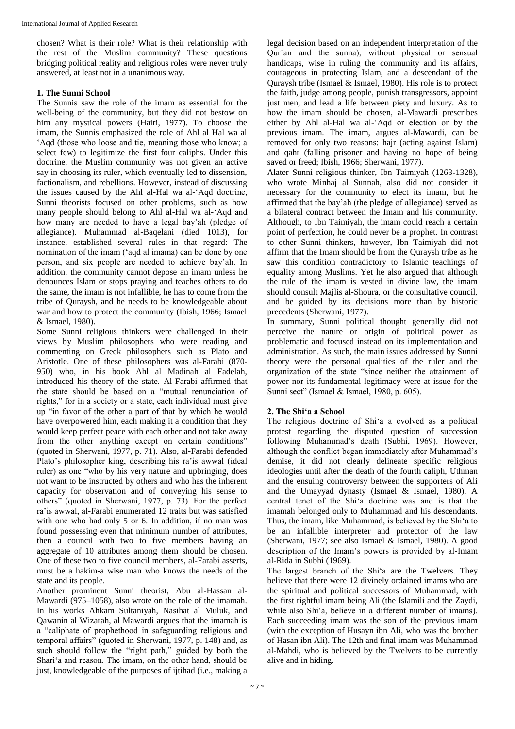chosen? What is their role? What is their relationship with the rest of the Muslim community? These questions bridging political reality and religious roles were never truly answered, at least not in a unanimous way.

## **1. The Sunni School**

The Sunnis saw the role of the imam as essential for the well**-**being of the community, but they did not bestow on him any mystical powers (Hairi, 1977). To choose the imam, the Sunnis emphasized the role of Ahl al Hal wa al 'Aqd (those who loose and tie, meaning those who know; a select few) to legitimize the first four caliphs. Under this doctrine, the Muslim community was not given an active say in choosing its ruler, which eventually led to dissension, factionalism, and rebellions. However, instead of discussing the issues caused by the Ahl al**-**Hal wa al**-**'Aqd doctrine, Sunni theorists focused on other problems, such as how many people should belong to Ahl al**-**Hal wa al**-**'Aqd and how many are needed to have a legal bay'ah (pledge of allegiance). Muhammad al**-**Baqelani (died 1013), for instance, established several rules in that regard: The nomination of the imam ('aqd al imama) can be done by one person, and six people are needed to achieve bay'ah. In addition, the community cannot depose an imam unless he denounces Islam or stops praying and teaches others to do the same, the imam is not infallible, he has to come from the tribe of Quraysh, and he needs to be knowledgeable about war and how to protect the community (Ibish, 1966; Ismael & Ismael, 1980).

Some Sunni religious thinkers were challenged in their views by Muslim philosophers who were reading and commenting on Greek philosophers such as Plato and Aristotle. One of these philosophers was al**-**Farabi (870**-** 950) who, in his book Ahl al Madinah al Fadelah, introduced his theory of the state. Al**-**Farabi affirmed that the state should be based on a "mutual renunciation of rights," for in a society or a state, each individual must give up "in favor of the other a part of that by which he would have overpowered him, each making it a condition that they would keep perfect peace with each other and not take away from the other anything except on certain conditions" (quoted in Sherwani, 1977, p. 71). Also, al**-**Farabi defended Plato's philosopher king, describing his ra'is awwal (ideal ruler) as one "who by his very nature and upbringing, does not want to be instructed by others and who has the inherent capacity for observation and of conveying his sense to others" (quoted in Sherwani, 1977, p. 73). For the perfect ra'is awwal, al**-**Farabi enumerated 12 traits but was satisfied with one who had only 5 or 6. In addition, if no man was found possessing even that minimum number of attributes, then a council with two to five members having an aggregate of 10 attributes among them should be chosen. One of these two to five council members, al**-**Farabi asserts, must be a hakim**-**a wise man who knows the needs of the state and its people.

Another prominent Sunni theorist, Abu al**-**Hassan al**-**Mawardi (975–1058), also wrote on the role of the imamah. In his works Ahkam Sultaniyah, Nasihat al Muluk, and Qawanin al Wizarah, al Mawardi argues that the imamah is a "caliphate of prophethood in safeguarding religious and temporal affairs" (quoted in Sherwani, 1977, p. 148) and, as such should follow the "right path," guided by both the Shari'a and reason. The imam, on the other hand, should be just, knowledgeable of the purposes of ijtihad (i.e., making a legal decision based on an independent interpretation of the Qur'an and the sunna), without physical or sensual handicaps, wise in ruling the community and its affairs, courageous in protecting Islam, and a descendant of the Quraysh tribe (Ismael & Ismael, 1980). His role is to protect the faith, judge among people, punish transgressors, appoint just men, and lead a life between piety and luxury. As to how the imam should be chosen, al**-**Mawardi prescribes either by Ahl al**-**Hal wa al**-**'Aqd or election or by the previous imam. The imam, argues al**-**Mawardi, can be removed for only two reasons: hajr (acting against Islam) and qahr (falling prisoner and having no hope of being saved or freed; Ibish, 1966; Sherwani, 1977).

Alater Sunni religious thinker, Ibn Taimiyah (1263**-**1328), who wrote Minhaj al Sunnah, also did not consider it necessary for the community to elect its imam, but he affirmed that the bay'ah (the pledge of allegiance) served as a bilateral contract between the Imam and his community. Although, to Ibn Taimiyah, the imam could reach a certain point of perfection, he could never be a prophet. In contrast to other Sunni thinkers, however, Ibn Taimiyah did not affirm that the Imam should be from the Quraysh tribe as he saw this condition contradictory to Islamic teachings of equality among Muslims. Yet he also argued that although the rule of the imam is vested in divine law, the imam should consult Majlis al**-**Shoura, or the consultative council, and be guided by its decisions more than by historic precedents (Sherwani, 1977).

In summary, Sunni political thought generally did not perceive the nature or origin of political power as problematic and focused instead on its implementation and administration. As such, the main issues addressed by Sunni theory were the personal qualities of the ruler and the organization of the state "since neither the attainment of power nor its fundamental legitimacy were at issue for the Sunni sect" (Ismael & Ismael, 1980, p. 605).

# **2. The Shi'a a School**

The religious doctrine of Shi'a a evolved as a political protest regarding the disputed question of succession following Muhammad's death (Subhi, 1969). However, although the conflict began immediately after Muhammad's demise, it did not clearly delineate specific religious ideologies until after the death of the fourth caliph, Uthman and the ensuing controversy between the supporters of Ali and the Umayyad dynasty (Ismael & Ismael, 1980). A central tenet of the Shi'a doctrine was and is that the imamah belonged only to Muhammad and his descendants. Thus, the imam, like Muhammad, is believed by the Shi'a to be an infallible interpreter and protector of the law (Sherwani, 1977; see also Ismael & Ismael, 1980). A good description of the Imam's powers is provided by al**-**Imam al**-**Rida in Subhi (1969).

The largest branch of the Shi'a are the Twelvers. They believe that there were 12 divinely ordained imams who are the spiritual and political successors of Muhammad, with the first rightful imam being Ali (the Islamili and the Zaydi, while also Shi'a, believe in a different number of imams). Each succeeding imam was the son of the previous imam (with the exception of Husayn ibn Ali, who was the brother of Hasan ibn Ali). The 12th and final imam was Muhammad al**-**Mahdi, who is believed by the Twelvers to be currently alive and in hiding.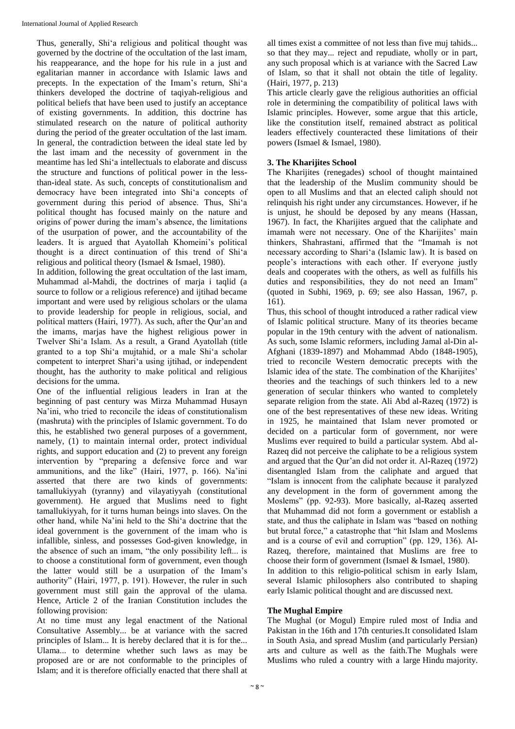Thus, generally, Shi'a religious and political thought was governed by the doctrine of the occultation of the last imam, his reappearance, and the hope for his rule in a just and egalitarian manner in accordance with Islamic laws and precepts. In the expectation of the Imam's return, Shi'a thinkers developed the doctrine of taqiyah**-**religious and political beliefs that have been used to justify an acceptance of existing governments. In addition, this doctrine has stimulated research on the nature of political authority during the period of the greater occultation of the last imam. In general, the contradiction between the ideal state led by the last imam and the necessity of government in the meantime has led Shi'a intellectuals to elaborate and discuss the structure and functions of political power in the lessthan**-**ideal state. As such, concepts of constitutionalism and democracy have been integrated into Shi'a concepts of government during this period of absence. Thus, Shi'a political thought has focused mainly on the nature and origins of power during the imam's absence, the limitations of the usurpation of power, and the accountability of the leaders. It is argued that Ayatollah Khomeini's political thought is a direct continuation of this trend of Shi'a religious and political theory (Ismael & Ismael, 1980).

In addition, following the great occultation of the last imam, Muhammad al**-**Mahdi, the doctrines of marja i taqlid (a source to follow or a religious reference) and ijtihad became important and were used by religious scholars or the ulama to provide leadership for people in religious, social, and political matters (Hairi, 1977). As such, after the Qur'an and the imams, marjas have the highest religious power in Twelver Shi'a Islam. As a result, a Grand Ayatollah (title granted to a top Shi'a mujtahid, or a male Shi'a scholar competent to interpret Shari'a using ijtihad, or independent thought, has the authority to make political and religious decisions for the umma.

One of the influential religious leaders in Iran at the beginning of past century was Mirza Muhammad Husayn Na'ini, who tried to reconcile the ideas of constitutionalism (mashruta) with the principles of Islamic government. To do this, he established two general purposes of a government, namely, (1) to maintain internal order, protect individual rights, and support education and (2) to prevent any foreign intervention by "preparing a defensive force and war ammunitions, and the like" (Hairi, 1977, p. 166). Na'ini asserted that there are two kinds of governments: tamallukiyyah (tyranny) and vilayatiyyah (constitutional government). He argued that Muslims need to fight tamallukiyyah, for it turns human beings into slaves. On the other hand, while Na'ini held to the Shi'a doctrine that the ideal government is the government of the imam who is infallible, sinless, and possesses God**-**given knowledge, in the absence of such an imam, "the only possibility left... is to choose a constitutional form of government, even though the latter would still be a usurpation of the Imam's authority" (Hairi, 1977, p. 191). However, the ruler in such government must still gain the approval of the ulama. Hence, Article 2 of the Iranian Constitution includes the following provision:

At no time must any legal enactment of the National Consultative Assembly... be at variance with the sacred principles of Islam... It is hereby declared that it is for the... Ulama... to determine whether such laws as may be proposed are or are not conformable to the principles of Islam; and it is therefore officially enacted that there shall at

all times exist a committee of not less than five muj tahids... so that they may... reject and repudiate, wholly or in part, any such proposal which is at variance with the Sacred Law of Islam, so that it shall not obtain the title of legality. (Hairi, 1977, p. 213)

This article clearly gave the religious authorities an official role in determining the compatibility of political laws with Islamic principles. However, some argue that this article, like the constitution itself, remained abstract as political leaders effectively counteracted these limitations of their powers (Ismael & Ismael, 1980).

## **3. The Kharijites School**

The Kharijites (renegades) school of thought maintained that the leadership of the Muslim community should be open to all Muslims and that an elected caliph should not relinquish his right under any circumstances. However, if he is unjust, he should be deposed by any means (Hassan, 1967). In fact, the Kharijites argued that the caliphate and imamah were not necessary. One of the Kharijites' main thinkers, Shahrastani, affirmed that the "Imamah is not necessary according to Shari'a (Islamic law). It is based on people's interactions with each other. If everyone justly deals and cooperates with the others, as well as fulfills his duties and responsibilities, they do not need an Imam" (quoted in Subhi, 1969, p. 69; see also Hassan, 1967, p. 161).

Thus, this school of thought introduced a rather radical view of Islamic political structure. Many of its theories became popular in the 19th century with the advent of nationalism. As such, some Islamic reformers, including Jamal al**-**Din al**-**Afghani (1839**-**1897) and Mohammad Abdo (1848**-**1905), tried to reconcile Western democratic precepts with the Islamic idea of the state. The combination of the Kharijites' theories and the teachings of such thinkers led to a new generation of secular thinkers who wanted to completely separate religion from the state. Ali Abd al**-**Razeq (1972) is one of the best representatives of these new ideas. Writing in 1925, he maintained that Islam never promoted or decided on a particular form of government, nor were Muslims ever required to build a particular system. Abd al**-**Razeq did not perceive the caliphate to be a religious system and argued that the Qur'an did not order it. Al**-**Razeq (1972) disentangled Islam from the caliphate and argued that "Islam is innocent from the caliphate because it paralyzed any development in the form of government among the Moslems" (pp. 92**-**93). More basically, al**-**Razeq asserted that Muhammad did not form a government or establish a state, and thus the caliphate in Islam was "based on nothing but brutal force," a catastrophe that "hit Islam and Moslems and is a course of evil and corruption" (pp. 129, 136). Al**-**Razeq, therefore, maintained that Muslims are free to choose their form of government (Ismael & Ismael, 1980). In addition to this religio**-**political schism in early Islam, several Islamic philosophers also contributed to shaping early Islamic political thought and are discussed next.

## **The Mughal Empire**

The Mughal (or Mogul) Empire ruled most of India and Pakistan in the 16th and 17th centuries.It consolidated Islam in South Asia, and spread Muslim (and particularly Persian) arts and culture as well as the faith.The Mughals were Muslims who ruled a country with a large Hindu majority.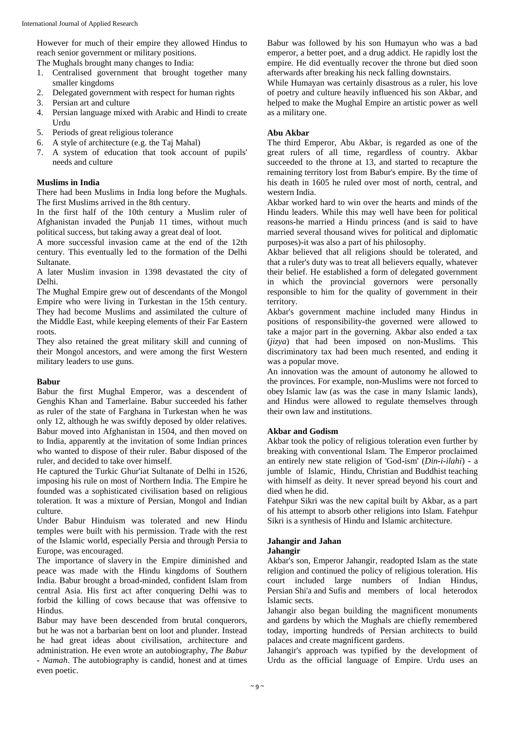However for much of their empire they allowed Hindus to reach senior government or military positions.

The Mughals brought many changes to India:

- 1. Centralised government that brought together many smaller kingdoms
- 2. Delegated government with respect for human rights
- 3. Persian art and culture
- 4. Persian language mixed with Arabic and Hindi to create Urdu
- 5. Periods of great religious tolerance
- 6. A style of architecture (e.g. the Taj Mahal)
- 7. A system of education that took account of pupils' needs and culture

## **Muslims in India**

There had been Muslims in India long before the Mughals. The first Muslims arrived in the 8th century.

In the first half of the 10th century a Muslim ruler of Afghanistan invaded the Punjab 11 times, without much political success, but taking away a great deal of loot.

A more successful invasion came at the end of the 12th century. This eventually led to the formation of the Delhi Sultanate.

A later Muslim invasion in 1398 devastated the city of Delhi.

The Mughal Empire grew out of descendants of the Mongol Empire who were living in Turkestan in the 15th century. They had become Muslims and assimilated the culture of the Middle East, while keeping elements of their Far Eastern roots.

They also retained the great military skill and cunning of their Mongol ancestors, and were among the first Western military leaders to use guns.

#### **Babur**

Babur the first Mughal Emperor, was a descendent of Genghis Khan and Tamerlaine. Babur succeeded his father as ruler of the state of Farghana in Turkestan when he was only 12, although he was swiftly deposed by older relatives. Babur moved into Afghanistan in 1504, and then moved on to India, apparently at the invitation of some Indian princes who wanted to dispose of their ruler. Babur disposed of the ruler, and decided to take over himself.

He captured the Turkic Ghur'iat Sultanate of Delhi in 1526, imposing his rule on most of Northern India. The Empire he founded was a sophisticated civilisation based on religious toleration. It was a mixture of Persian, Mongol and Indian culture.

Under Babur Hinduism was tolerated and new Hindu temples were built with his permission. Trade with the rest of the Islamic world, especially Persia and through Persia to Europe, was encouraged.

The importance of slavery in the Empire diminished and peace was made with the Hindu kingdoms of Southern India. Babur brought a broad**-**minded, confident Islam from central Asia. His first act after conquering Delhi was to forbid the killing of cows because that was offensive to Hindus.

Babur may have been descended from brutal conquerors, but he was not a barbarian bent on loot and plunder. Instead he had great ideas about civilisation, architecture and administration. He even wrote an autobiography, *The Babur - Namah*. The autobiography is candid, honest and at times even poetic.

Babur was followed by his son Humayun who was a bad emperor, a better poet, and a drug addict. He rapidly lost the empire. He did eventually recover the throne but died soon afterwards after breaking his neck falling downstairs.

While Humayan was certainly disastrous as a ruler, his love of poetry and culture heavily influenced his son Akbar, and helped to make the Mughal Empire an artistic power as well as a military one.

#### **Abu Akbar**

The third Emperor, Abu Akbar, is regarded as one of the great rulers of all time, regardless of country. Akbar succeeded to the throne at 13, and started to recapture the remaining territory lost from Babur's empire. By the time of his death in 1605 he ruled over most of north, central, and western India.

Akbar worked hard to win over the hearts and minds of the Hindu leaders. While this may well have been for political reasons**-**he married a Hindu princess (and is said to have married several thousand wives for political and diplomatic purposes)**-**it was also a part of his philosophy.

Akbar believed that all religions should be tolerated, and that a ruler's duty was to treat all believers equally, whatever their belief. He established a form of delegated government in which the provincial governors were personally responsible to him for the quality of government in their territory.

Akbar's government machine included many Hindus in positions of responsibility**-**the governed were allowed to take a major part in the governing. Akbar also ended a tax (*jizya*) that had been imposed on non**-**Muslims. This discriminatory tax had been much resented, and ending it was a popular move.

An innovation was the amount of autonomy he allowed to the provinces. For example, non**-**Muslims were not forced to obey Islamic law (as was the case in many Islamic lands), and Hindus were allowed to regulate themselves through their own law and institutions.

## **Akbar and Godism**

Akbar took the policy of religious toleration even further by breaking with conventional Islam. The Emperor proclaimed an entirely new state religion of 'God**-**ism' (*Din-i-ilahi*) **-** a jumble of Islamic, Hindu, Christian and Buddhist teaching with himself as deity. It never spread beyond his court and died when he did.

Fatehpur Sikri was the new capital built by Akbar, as a part of his attempt to absorb other religions into Islam. Fatehpur Sikri is a synthesis of Hindu and Islamic architecture.

## **Jahangir and Jahan**

#### **Jahangir**

Akbar's son, Emperor Jahangir, readopted Islam as the state religion and continued the policy of religious toleration. His court included large numbers of Indian Hindus, Persian Shi'a and Sufis and members of local heterodox Islamic sects.

Jahangir also began building the magnificent monuments and gardens by which the Mughals are chiefly remembered today, importing hundreds of Persian architects to build palaces and create magnificent gardens.

Jahangir's approach was typified by the development of Urdu as the official language of Empire. Urdu uses an